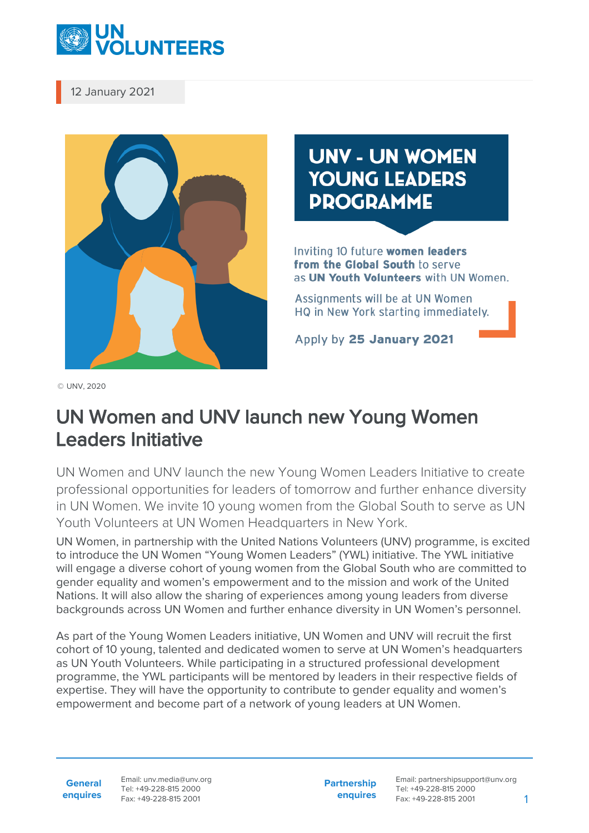

12 January 2021



## **UNV - UN WOMEN YOUNG LEADERS DDOGDAMME**

Inviting 10 future women leaders from the Global South to serve as UN Youth Volunteers with UN Women.

Assignments will be at UN Women HQ in New York starting immediately.

Apply by 25 January 2021

© UNV, 2020

## UN Women and UNV launch new Young Women Leaders Initiative

UN Women and UNV launch the new Young Women Leaders Initiative to create professional opportunities for leaders of tomorrow and further enhance diversity in UN Women. We invite 10 young women from the Global South to serve as UN Youth Volunteers at UN Women Headquarters in New York.

UN Women, in partnership with the United Nations Volunteers (UNV) programme, is excited to introduce the UN Women "Young Women Leaders" (YWL) initiative. The YWL initiative will engage a diverse cohort of young women from the Global South who are committed to gender equality and women's empowerment and to the mission and work of the United Nations. It will also allow the sharing of experiences among young leaders from diverse backgrounds across UN Women and further enhance diversity in UN Women's personnel.

As part of the Young Women Leaders initiative, UN Women and UNV will recruit the first cohort of 10 young, talented and dedicated women to serve at UN Women's headquarters as UN Youth Volunteers. While participating in a structured professional development programme, the YWL participants will be mentored by leaders in their respective fields of expertise. They will have the opportunity to contribute to gender equality and women's empowerment and become part of a network of young leaders at UN Women.

**General enquires** Email: unv.media@unv.org Tel: +49-228-815 2000 Fax: +49-228-815 2001

**Partnership enquires** Email: partnershipsupport@unv.org Tel: +49-228-815 2000 Fax: +49-228-815 2001 1